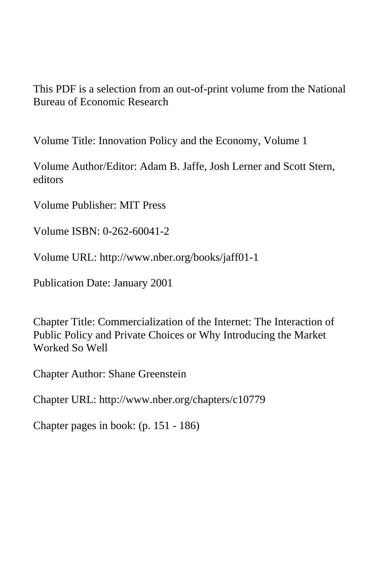This PDF is a selection from an out-of-print volume from the National Bureau of Economic Research

Volume Title: Innovation Policy and the Economy, Volume 1

Volume Author/Editor: Adam B. Jaffe, Josh Lerner and Scott Stern, editors

Volume Publisher: MIT Press

Volume ISBN: 0-262-60041-2

Volume URL: http://www.nber.org/books/jaff01-1

Publication Date: January 2001

Chapter Title: Commercialization of the Internet: The Interaction of Public Policy and Private Choices or Why Introducing the Market Worked So Well

Chapter Author: Shane Greenstein

Chapter URL: http://www.nber.org/chapters/c10779

Chapter pages in book: (p. 151 - 186)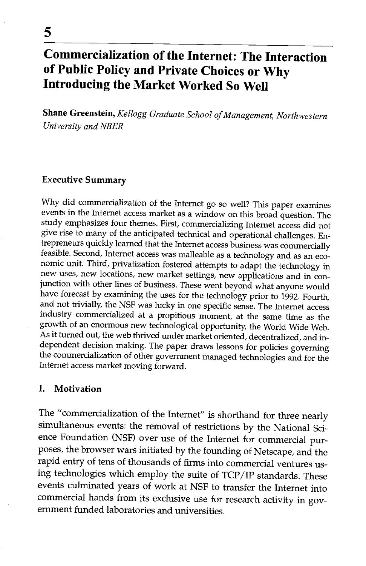# Commercialization of the Internet: The Interaction of Public Policy and Private Choices or Why Introducing the Market Worked So Well

Shane Greenstein, Kellogg Graduate School of Management, Northwestern University and NBER

#### Executive Summary

Why did commercialization of the Internet go so well? This paper examines events in the Internet access market as a window on this broad question. The study emphasizes four themes. First, commercializing Internet access did not give rise to many of the anticipated technical and operational challenges. Entrepreneurs quickly learned that the Internet access business was commercially feasible. Second, Internet access was malleable as a technology and as an eco-<br>nomic unit. Third, privatization fostered attempts to adapt the technology in new uses, new locations, new market settings, new applications and in conjunction with other lines of business. These went beyond what anyone would have forecast by examining the uses for the technology prior to 1992. Fourth, and not trivially, the NSF was lucky in one specific sense. The Internet access industry commercialized at a propitious moment, at the same time as the growth of an enormous new technological opportunity the World Wide Web. As it turned out, the web thrived under market oriented, decentralized, and independent decision making. The paper draws lessons for policies governing the commercialization of other government managed technologies and for the Internet access market moving forward.

#### I. Motivation

The "commercialization of the Internet" is shorthand for three nearly simultaneous events: the removal of restrictions by the National Science Foundation (NSF) over use of the Internet for commercial purposes, the browser wars initiated by the founding of Netscape, and the rapid entry of tens of thousands of firms into commercial ventures using technologies which employ the suite of TCP/IP standards. These events culminated years of work at NSF to transfer the Internet into commercial hands from its exclusive use for research activity in government funded laboratories and universities.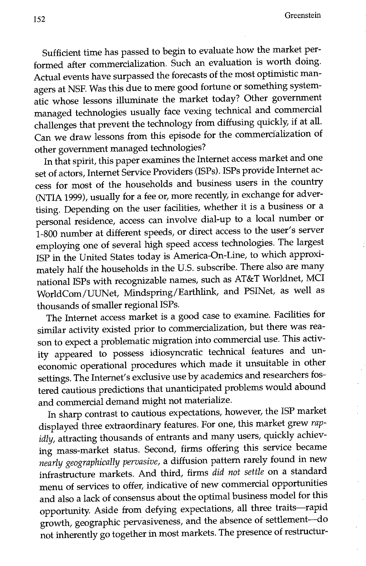Sufficient time has passed to begin to evaluate how the market performed after commercialization. Such an evaluation is worth doing. Actual events have surpassed the forecasts of the most optimistic managers at NSF. Was this due to mere good fortune or something systematic whose lessons illuminate the market today? Other government managed technologies usually face vexing technical and commercial challenges that prevent the technology from diffusing quickly, if at all. Can we draw lessons from this episode for the commercialization of other government managed technologies?

In that spirit, this paper examines the Internet accessmarket and one set of actors, Internet Service Providers (ISPs). ISPs provide Internet access for most of the households and business users in the country (NTIA 1999), usually for a fee or, more recently, in exchange for advertising. Depending on the user facilities, whether it is a business or a personal residence, access can involve dial-up to a local number or 1-800 number at different speeds, or direct access to the user's server employing one of several high speed access technologies. The largest ISP in the United States today is America-On-Line, to which approximately half the households in the U.S. subscribe. There also are many national ISPs with recognizable names, such as AT&T Worldnet, MCI WorldCom/UUNet, Mindspring/Earthlink, and PSINet, as well as thousands of smaller regional ISPs.

The Internet access market is a good case to examine. Facilities for similar activity existed prior to commercialization, but there was reason to expect a problematic migration into commercial use. This activity appeared to possess idiosyncratic technical features and uneconomic operational procedures which made it unsuitable in other settings. The Internet's exclusive use by academics and researchers fostered cautious predictions that unanticipated problems would abound and commercial demand might not materialize

In sharp contrast to cautious expectations, however, the ISP market displayed three extraordinary features. For one, this market grew rapidly, attracting thousands of entrants and many users, quickly achieving mass-market status. Second, firms offering this service became nearly geographically pervasive, a diffusion pattern rarely found in new infrastructure markets. And third, firms did not settle on a standard menu of services to offer, indicative of new commercial opportunities and also a lack of consensus about the optimal business model for this opportunity. Aside from defying expectations, all three traits-rapid growth, geographic pervasiveness, and the absence of settlement-do not inherently go together in most markets. The presence of restructur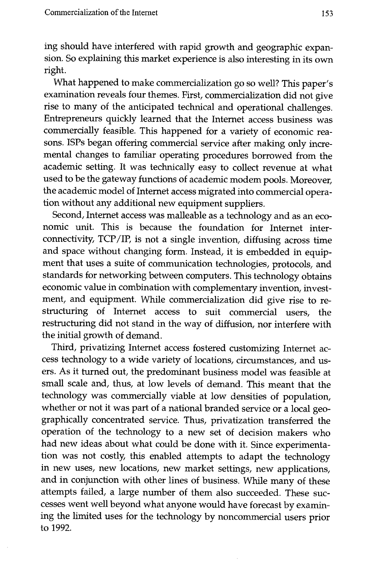ing should have interfered with rapid growth and geographic expansion. So explaining this market experience is also interesting in its own right.

What happened to make commercialization go so well? This paper's examination reveals four themes. First, commercialization did not give rise to many of the anticipated technical and operational challenges. Entrepreneurs quickly learned that the Internet access business was commercially feasible. This happened for a variety of economic reasons. ISPs began offering commercial service after making only incremental changes to familiar operating procedures borrowed from the academic setting. It was technically easy to collect revenue at what used to be the gateway functions of academic modem pools. Moreover, the academic model of Internet access migrated into commercial operation without any additional new equipment suppliers.

Second, Internet access was malleable as a technology and as an economic unit. This is because the foundation for Internet interconnectivity, TCP/IP, is not a single invention, diffusing across time and space without changing form. Instead, it is embedded in equipment that uses a suite of communication technologies, protocols, and standards for networking between computers. This technology obtains economic value in combination with complementary invention, investment, and equipment. While commercialization did give rise to restructuring of Internet access to suit commercial users, the restructuring did not stand in the way of diffusion, nor interfere with the initial growth of demand.

Third, privatizing Internet access fostered customizing Internet access technology to a wide variety of locations, circumstances, and users. As it turned out, the predominant business model was feasible at small scale and, thus, at low levels of demand. This meant that the technology was commercially viable at low densities of population, whether or not it was part of a national branded service or a local geographically concentrated service. Thus, privatization transferred the operation of the technology to a new set of decision makers who had new ideas about what could be done with it. Since experimentation was not costly, this enabled attempts to adapt the technology in new uses, new locations, new market settings, new applications, and in conjunction with other lines of business. While many of these attempts failed, a large number of them also succeeded. These successes went well beyond what anyone would have forecast by examining the limited uses for the technology by noncommercial users prior to 1992.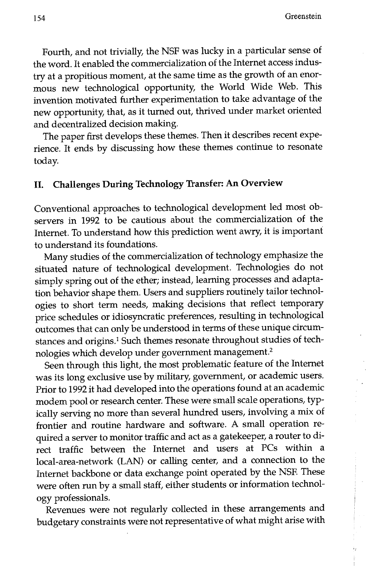Fourth, and not trivially, the NSF was lucky in a particular sense of the word. It enabled the commercialization of the Internet access industry at a propitious moment, at the same time as the growth of an enormous new technological opportunity, the World Wide Web. This invention motivated further experimentation to take advantage of the new opportunity, that, as it turned out, thrived under market oriented and decentralized decision making.

The paper first develops these themes. Then it describes recent experience. It ends by discussing how these themes continue to resonate today.

### II. Challenges During Technology Transfer: An Overview

Conventional approaches to technological development led most observers in 1992 to be cautious about the commercialization of the Internet. To understand how this prediction went awry, it is important to understand its foundations.

Many studies of the commercialization of technology emphasize the situated nature of technological development. Technologies do not simply spring out of the ether; instead, learning processes and adaptation behavior shape them. Users and suppliers routinely tailor technologies to short term needs, making decisions that reflect temporary price schedules or idiosyncratic preferences, resulting in technological outcomes that can only be understood in terms of these unique circumstances and origins.<sup>1</sup> Such themes resonate throughout studies of technologies which develop under government management.2

Seen through this light, the most problematic feature of the Internet was its long exclusive use by military, government, or academic users. Prior to 1992 it had developed into the operations found at an academic modem pool or research center. These were small scale operations, typically serving no more than several hundred users, involving a mix of frontier and routine hardware and software. A small operation required a server to monitor traffic and act as a gatekeeper, a router to direct traffic between the Internet and users at PCs within a local-area-network (LAN) or calling center, and a connection to the Internet backbone or data exchange point operated by the NSF. These were often run by a small staff, either students or information technology professionals.

Revenues were not regularly collected in these arrangements and budgetary constraints were not representative of what might arise with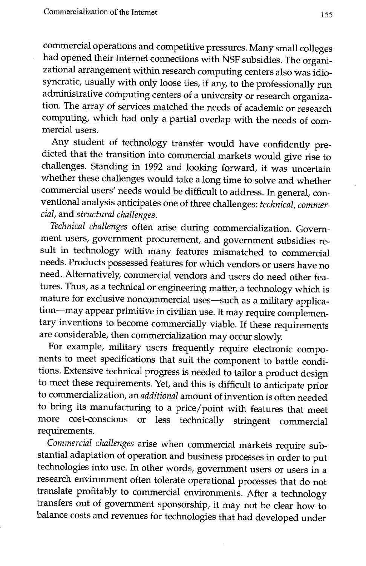commercial operations and competitive pressures. Many small colleges had opened their Internet connections with NSF subsidies. The organizational arrangement within research computing centers also was idiosyncratic, usually with only loose ties, if any, to the professionally run administrative computing centers of a university or research organization. The array of services matched the needs of academic or research computing, which had only a partial overlap with the needs of commercial users.

Any student of technology transfer would have confidently predicted that the transition into commercial markets would give rise to challenges. Standing in 1992 and looking forward, it was uncertain whether these challenges would take a long time to solve and whether commercial users' needs would be difficult to address. In general, conventional analysis anticipates one of three challenges: technical, commercial, and structural challenges.

Technical challenges often arise during commercialization. Governsult in technology with many features mismatched to commercial needs. Products possessed features for which vendors or users have no need. Alternatively, commercial vendors and users do need other features. Thus, as a technical or engineering matter, a technology which is mature for exclusive noncommercial uses-such as a military application-may appear primitive in civilian use. It may require complementary inventions to become commercially viable. If these requirements are considerable, then commercialization may occur slowly.

For example, military users frequently require electronic components to meet specifications that suit the component to battle conditions. Extensive technical progress is needed to tailor a product design to meet these requirements. Yet, and this is difficult to anticipate prior to commercialization, an additional amount of invention is often needed to bring its manufacturing to a price/point with features that meet more cost-conscious or less technically stringent commercial requirements.

Commercial challenges arise when commercial markets require substantial adaptation of operation and business processes in order to put technologies into use. In other words, government users or users in a research environment often tolerate operational processes that do not translate profitably to commercial environments. After a technology transfers out of government sponsorship, it may not be clear how to balance costs and revenues for technologies that had developed under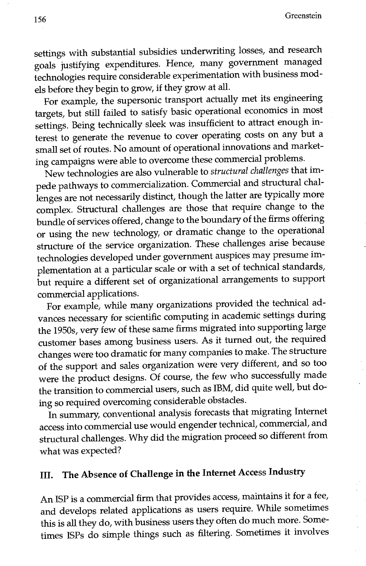Greenstein <sup>156</sup>

settings with substantial subsidies underwriting losses, and research goals justifying expenditures. Hence, many government managed technologies require considerable experimentation with business models before they begin to grow, if they grow at all.

For example, the supersonic transport actually met its engineering targets, but still failed to satisfy basic operational economics in most settings. Being technically sleek was insufficient to attract enough interest to generate the revenue to cover operating costs on any but a small set of routes. No amount of operational innovations and marketing campaigns were able to overcome these commercial problems.

New technologies are also vulnerable to structural challenges that impede pathways to commercialization. Commercial and structural challenges are not necessarily distinct, though the latter are typically more complex. Structural challenges are those that require change to the bundle of services offered, change to the boundary of the firms offering or using the new technology, or dramatic change to the operational structure of the service organization. These challenges arise because technologies developed under government auspices may presume implementation at a particular scale or with a set of technical standards, but require a different set of organizational arrangements to support commercial applications.

For example, while many organizations provided the technical advances necessary for scientific computing in academic settings during the 1950s, very few of these same firms migrated into supporting large customer bases among business users. As it turned out, the required changes were too dramatic for many companies tomake. The structure of the support and sales organization were very different, and so too were the product designs. Of course, the few who successfully made the transition to commercial users, such as IBM, did quite well, but doing so required overcoming considerable obstacles.

In summary, conventional analysis forecasts that migrating Internet access into commercial use would engender technical, commercial, and structural challenges. Why did the migration proceed so different from what was expected?

## III. The Absence of Challenge in the Internet Access Industry

An ISP is a commercial firm that provides access, maintains it for a fee, and develops related applications as users require. While sometimes this is all they do, with business users they often do much more. Sometimes ISPs do simple things such as filtering. Sometimes it involves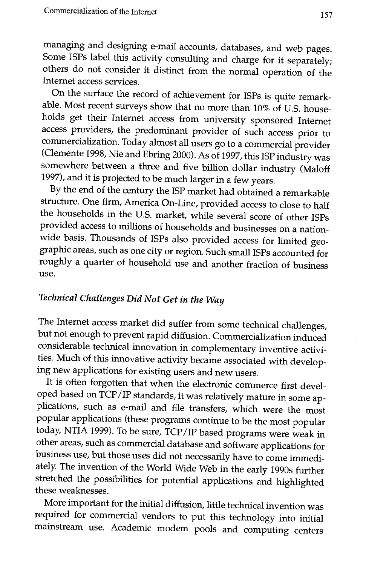managing and designing e-mail accounts, databases, and web pages. Some ISPs label this activity consulting and charge for it separately; others do not consider it distinct from the normal operation of the Internet access services.

On the surface the record of achievement for ISPs is quite remarkable. Most recent surveys show that no more than 10% of U.S. households get their Internet access from university sponsored Internet access providers, the predominant provider of such access prior to commercialization. Today almost all users go to a commercial provider (Clemente 1998, Nie and Ebring 2000). As of 1997, this ISP industry was somewhere between a three and five billion dollar industry (Maloff 1997), and it is projected to be much larger in a few years.

By the end of the century the ISP market had obtained a remarkable structure. One firm, America On-Line, provided access to close to half the households in the U.S. market, while several score of other ISPs provided access to millions of households and businesses on a nationwide basis. Thousands of ISPs also provided access for limited geographic areas, such as one city or region. Such small ISPs accounted for roughly a quarter of household use and another fraction of business use.

### Technical Challenges Did Not Get in the Way

The Internet access market did suffer from some technical challenges, but not enough to prevent rapid diffusion. Commercialization induced considerable technical innovation in complementary inventive activities. Much of this innovative activity became associated with developing new applications for existing users and new users.

It is often forgotten that when the electronic commerce first developed based on TCP/IP standards, it was relatively mature in some applications, such as e-mail and file transfers, which were the most popular applications (these programs continue to be the most popular today, NTIA 1999). To be sure, TCP/IP based programs were weak in other areas, such as commercial database and software applications for business use, but those uses did not necessarily have to come immediately. The invention of the World Wide Web in the early 1990s further stretched the possibilities for potential applications and highlighted these weaknesses.

More important for the initial diffusion, little technical invention was required for commercial vendors to put this technology into initial mainstream use. Academic modem pools and computing centers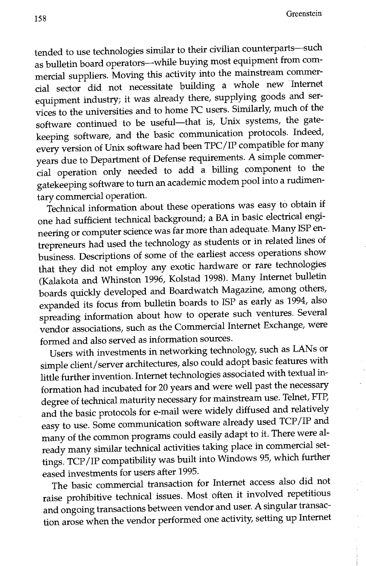<sup>158</sup> Greenstein

tended to use technologies similar to their civilian counterparts-such as bulletin board operators---while buying most equipment from commercial suppliers. Moving this activity into the mainstream commercial sector did not necessitate building a whole new Internet equipment industry; it was already there, supplying goods and services to the universities and to home PC users. Similarly, much of the software continued to be useful-that is, Unix systems, the gatekeeping software, and the basic communication protocols. Indeed, every version of Unix software had been TPC/IP compatible for many years due to Department of Defense requirements. A simple commercial operation only needed to add a billing component to the gatekeeping software to turn an academic modem pool into a rudimentary commercial operation.

Technical information about these operations was easy to obtain if one had sufficient technical background; a BA in basic electrical engineering or computer science was far more than adequate. Many ISP entrepreneurs had used the technology as students or in related lines of business. Descriptions of some of the earliest access operations show that they did not employ any exotic hardware or rare technologies (Kalakota and Whinston 1996, Koistad 1998). Many Internet bulletin boards quickly developed and Boardwatch Magazine, among others, expanded its focus from bulletin boards to ISP as early as 1994, also spreading information about how to operate such ventures. Several vendor associations, such as the Commercial Internet Exchange, were formed and also served as information sources.

Users with investments in networking technology, such as LANs or simple client/server architectures, also could adopt basic features with little further invention. Internet technologies associated with textual information had incubated for 20 years and were well past the necessary degree of technical maturity necessary for mainstream use. Telnet, FTP, and the basic protocols for e-mail were widely diffused and relatively easy to use. Some communication software already used TCP/IP and many of the common programs could easily adapt to it. There were already many similar technical activities taking place in commercial settings. TCP/IP compatibility was built into Windows 95, which further eased investments for users after 1995.

The basic commercial transaction for Internet access also did not raise prohibitive technical issues. Most often it involved repetitious and ongoing transactions between vendor and user. A singular transaction arose when the vendor performed one activity, setting up Internet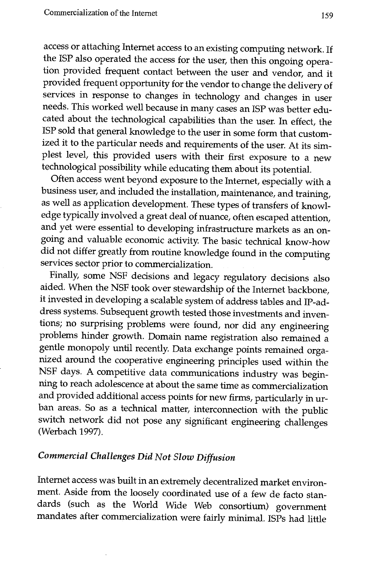access or attaching Internet access to an existing computing network. If the ISP also operated the access for the user, then this ongoing operation provided frequent contact between the user and vendor, and it provided frequent opportunity for the vendor to change the delivery of services in response to changes in technology and changes in user needs. This worked well because in many cases an ISP was better educated about the technological capabilities than the user. In effect, the ISP sold that general knowledge to the user in some form that customized it to the particular needs and requirements of the user. At its simplest level, this provided users with their first exposure to a new technological possibility while educating them about its potential.

Often access went beyond exposure to the Internet, especially with a business user, and included the installation, maintenance, and training, as well as application development. These types of transfers of knowledge typically involved a great deal of nuance, often escaped attention, and yet were essential to developing infrastructure markets as an ongoing and valuable economic activity. The basic technical know-how did not differ greatly from routine knowledge found in the computing services sector prior to commercialization.

Finally, some NSF decisions and legacy regulatory decisions also aided. When the NSF took over stewardship of the Internet backbone, it invested in developing a scalable system of address tables and IP-address systems. Subsequent growth tested those investments and inventions; no surprising problems were found, nor did any engineering problems hinder growth. Domain name registration also remained a gentle monopoly until recently. Data exchange points remained organized around the cooperative engineering principles used within the NSF days. A competitive data communications industry was beginning to reach adolescence at about the same time as commercialization and provided additional access points for new firms, particularly in urban areas. So as a technical matter, interconnection with the public switch network did not pose any significant engineering challenges (Werbach 1997).

## Commercial Challenges Did Not Slow Diffusion

Internet access was built in an extremely decentralized market environment. Aside from the loosely coordinated use of a few de facto stan-<br>dards (such as the World Wide Web consortium) government mandates after commercialization were fairly minimal. ISPs had little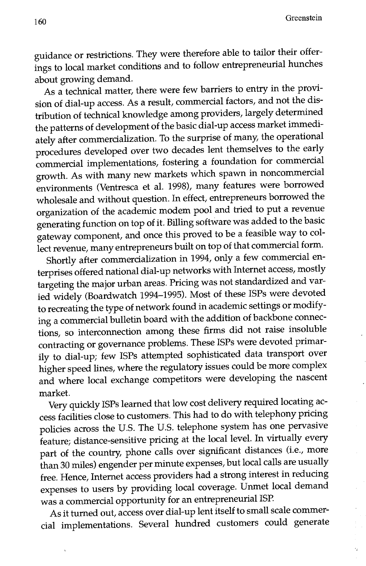Greenstein <sup>160</sup>

guidance or restrictions. They were therefore able to tailor their offerings to local market conditions and to follow entrepreneurial hunches about growing demand.

As a technical matter, there were few barriers to entry in the provision of dial-up access. As a result, commercial factors, and not the distribution of technical knowledge among providers, largely determined the patterns of development of the basic dial-up access market immediately after commercialization. To the surprise of many, the operational procedures developed over two decades lent themselves to the early commercial implementations, fostering a foundation for commercial growth. As with many new markets which spawn in noncommercial environments (Ventresca et al. 1998), many features were borrowed wholesale and without question. In effect, entrepreneurs borrowed the organization of the academic modem pool and tried to put a revenue generating function on top of it. Billing software was added to the basic gateway component, and once this proved to be a feasible way to collect revenue, many entrepreneurs built on top of that commercial form.

Shortly after commercialization in 1994, only a few commercial enterprises offered national dial-up networks with Internet access, mostly targeting the major urban areas. Pricing was not standardized and varied widely (Boardwatch 1994-1995). Most of these ISPs were devoted to recreating the type of network found in academic settings or modifying a commercial bulletin board with the addition of backbone connections, so interconnection among these firms did not raise insoluble contracting or governance problems. These ISPs were devoted primarily to dial-up; few ISPs attempted sophisticated data transport over higher speed lines, where the regulatory issues could be more complex and where local exchange competitors were developing the nascent market.

Very quickly ISPs learned that low cost delivery required locating access facilities close to customers. This had to do with telephony pricing policies across the U.S. The U.S. telephone system has one pervasive feature; distance-sensitive pricing at the local level. In virtually every part of the country, phone calls over significant distances (i.e., more than 30 miles) engender per minute expenses, but local calls are usually free. Hence, Internet access providers had a strong interest in reducing expenses to users by providing local coverage. Unmet local demand was a commercial opportunity for an entrepreneurial ISP.

As it turned out, access over dial-up lent itself to small scale commercial implementations. Several hundred customers could generate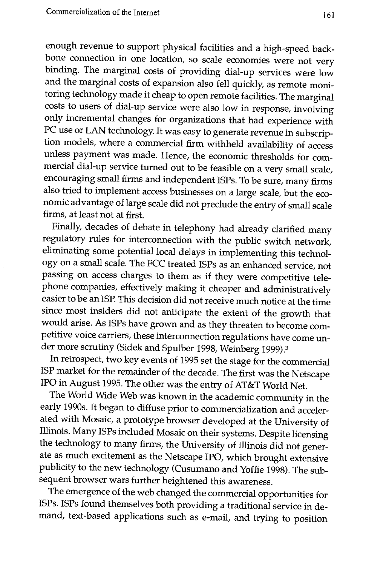enough revenue to support physical facilities and a high-speed backbone connection in one location, so scale economies were not very binding. The marginal costs of providing dial-up services were low and the marginal costs of expansion also fell quickly, as remote monitoring technology made it cheap to open remote facilities. The marginal costs to users of dial-up service were also low in response, involving<br>only incremental changes for organizations that had experience with PC use or LAN technology. It was easy to generate revenue in subscription models, where a commercial firm withheld availability of access unless payment was made. Hence, the economic thresholds for commercial dial-up service turned out to be feasible on a very small scale, encouraging small firms and independent ISPs. To be sure, many firms also tried to implement access businesses on a large scale, but the economic advantage of large scale did not preclude the entry of small scale firms, at least not at first.

Finally, decades of debate in telephony had already clarified many regulatory rules for interconnection with the public switch network, eliminating some potential local delays in implementing this technology on a small scale. The FCC treated ISPs as an enhanced service, not passing on access charges to them as if they were competitive telephone companies, effectively making it cheaper and administratively easier to be an ISP. This decision did not receive much notice at the time since most insiders did not anticipate the extent of the growth that would arise. As ISPs have grown and as they threaten to become competitive voice carriers, these interconnection regulations have come under more scrutiny (Sidek and Spulber 1998, Weinberg 1999).

In retrospect, two key events of 1995 set the stage for the commercial ISP market for the remainder of the decade. The first was the Netscape IPO in August 1995. The other was the entry of AT&T World Net.

The World Wide Web was known in the academic community in the early 1990s. It began to diffuse prior to commercialization and accelerated with Mosaic, a prototype browser developed at the University of Illinois. Many ISPs included Mosaic on their systems. Despite licensing the technology to many firms, the University of Illinois did not generate as much excitement as the Netscape IPO, which brought extensive publicity to the new technology (Cusumano and Yoffie 1998). The subsequent browser wars further heightened this awareness.

The emergence of the web changed the commercial opportunities for ISPs. ISPs found themselves both providing a traditional service in demand, text-based applications such as e-mail, and trying to position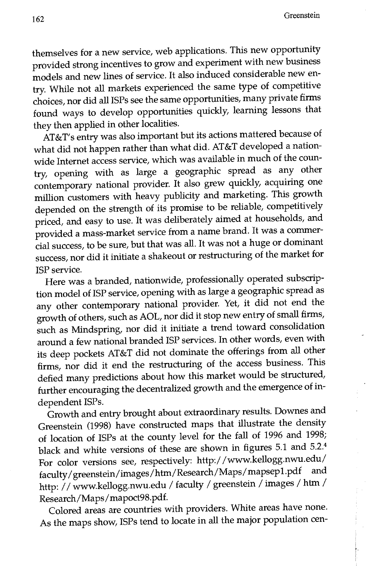themselves for a new service, web applications. This new opportunity provided strong incentives to grow and experiment with new business models and new lines of service. It also induced considerable new entry. While not all markets experienced the same type of competitive choices, nor did all ISPs see the same opportunities, many private firms found ways to develop opportunities quickly, learning lessons that they then applied in other localities.

AT&T's entry was also important but its actions mattered because of what did not happen rather than what did. AT&T developed a nationwide Internet access service, which was available in much of the country, opening with as large a geographic spread as any other contemporary national provider. It also grew quickly, acquiring one million customers with heavy publicity and marketing. This growth depended on the strength of its promise to be reliable, competitively priced, and easy to use. It was deliberately aimed at households, and provided a mass-market service from a name brand. It was a commercial success, to be sure, but that was all. It was not a huge or dominant success, nor did it initiate a shakeout or restructuring of the market for ISP service.

Here was a branded, nationwide, professionally operated subscription model of ISP service, opening with as large a geographic spread as any other contemporary national provider. Yet, it did not end the growth of others, such as AOL, nor did it stop new entryof small firms, such as Mindspring, nor did it initiate a trend toward consolidation around a few national branded ISP services. In other words, even with its deep pockets AT&T did not dominate the offerings from all other firms, nor did it end the restructuring of the access business. This defied many predictions about how this market would be structured, further encouraging the decentralized growth and the emergence of independent ISPs.

Growth and entry brought about extraordinary results. Downes and Greenstein (1998) have constructed maps that illustrate the density of location of ISPs at the county level for the fall of 1996 and 1998; black and white versions of these are shown in figures 5.1 and 5.2.4 For color versions see, respectively: http://www.kellogg.nwu.edu/<br>faculty/greenstein/images/htm/Research/Maps/mapsep1.pdf and faculty/greenstein/images/htm/Research/Maps/mapsep1.pdf http: 1/ www.kellogg.nwu.edu / faculty / greenstein / images / htm / Research/Maps/mapoct98.pdf.

Colored areas are countries with providers. White areas have none. As the maps show, ISPs tend to locate in all the major population cen-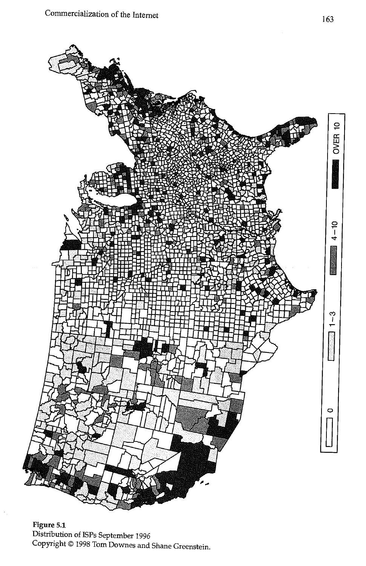

Figure 5.1 Distribution of ISPs September 1996<br>Copyright © 1998 Tom Downes and Shane Greenstein.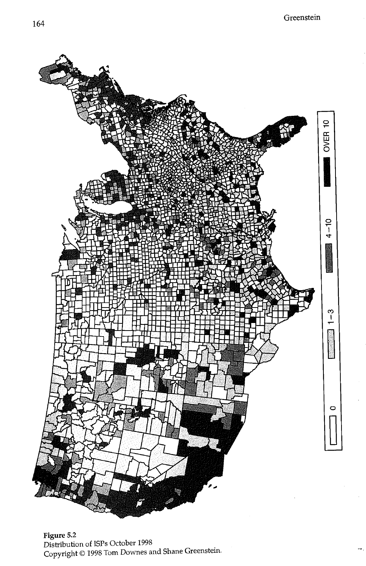



Figure 5.2<br>Distribution of ISPs October 1998 Copyright © 1998 Tom Downes and Shane Greenstein.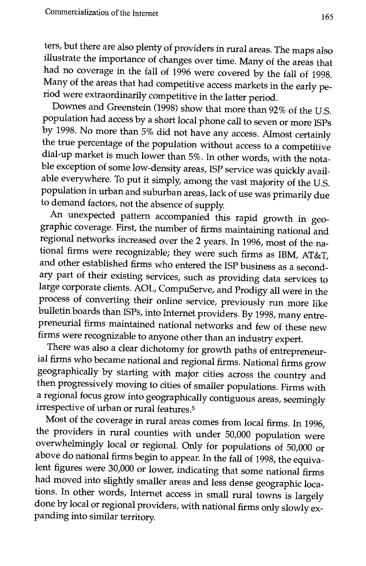ters, but there are also plenty of providers in rural areas. The maps also had no coverage in the fall of 1996 were covered by the fall of 1998.<br>Many of the areas that had competitive access markets in the early period were extraordinarily competitive in the latter period.

Downes and Greenstein (1998) show that more than 92% of the U.S. population had access by a short local phone call to seven or more ISPs by 1998. No more than 5% did not have any access. Almost certainly the true percentage of the population without access to a competitive dial-up market is much lower than 5%. In other words, with the notable exception of some low-density areas, ISP service was quickly available everywhere. To put it simply, among the vast majority of the U.S. population in urban and suburban areas, lack of use was primarily due to demand factors, not the absence of supply.<br>An unexpected pattern accompanied this rapid growth in geo-

graphic coverage. First, the number of firms maintaining national and regional networks increased over the 2 years. In 1996, most of the national firms were recognizable; they were such firms as IBM, AT&T, and other established firms who entered the ISP business as a secondary part of their existing services, such as providing data services to<br>large corporate clients. AOL, CompuServe, and Prodigy all were in the process of converting their online service, previously run more like<br>bulletin boards than ISPs, into Internet providers. By 1998, many entrepreneurial firms maintained national networks and few of these new firms were recognizable to anyone other than an industry expert.

There was also a clear dichotomy for growth paths of entrepreneurial firms who became national and regional firms. National firms grow geographically by starting with major cities across the country and then progressively moving to cities of smaller populations. Firms with a regional focus grow into geographically contiguous areas, seemingly irrespective of urban or rural features.

Most of the coverage in rural areas comes from local firms. In 1996, the providers in rural counties with under 50,000 population were<br>overwhelmingly local or regional. Only for populations of 50,000 or above do national firms begin to appear. In the fall of 1998, the equivalent figures were 30,000 or lower, indicating that some national firms had moved into slightly smaller areas and less dense geographic locations. In other words, Internet access in small rural towns is largely done by local or regional providers, with national firms only slowly expanding into similar territory.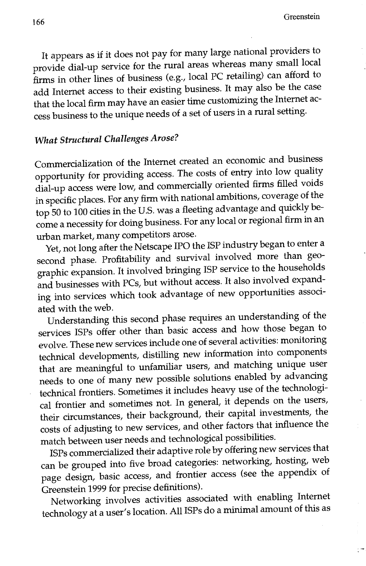It appears as if it does not pay for many large national providers to provide dial-up service for the rural areas whereas many small local firms in other lines of business (e.g., local PC retailing) can afford to add Internet access to their existing business. It may also be the case that the local firm may have an easier time customizing the Internet access business to the unique needs of a set of users in a rural setting.

## What Structural Challenges Arose?

Commercialization of the Internet created an economic and business opportunity for providing access. The costs of entry into low quality dial-up access were low, and commercially oriented firms filled voids in specific places. For any firm with national ambitions, coverage of the top 50 to 100 cities in the U.S. was a fleeting advantage and quickly become a necessity for doing business. For any local or regional firm in an urban market, many competitors arose.

Yet, not long after the Netscape IPO the ISP industry began to enter a second phase. Profitability and survival involved more than geographic expansion. It involved bringing ISP service to the households and businesses with PCs, but without access. It also involved expanding into services which took advantage of new opportunities associated with the web.

Understanding this second phase requires an understanding of the services ISPs offer other than basic access and how those began to evolve. These new services include one of several activities: monitoring technical developments, distilling new information into components that are meaningful to unfamiliar users, and matching unique user needs to one of many new possible solutions enabled by advancing technical frontiers. Sometimes it includes heavy use of the technological frontier and sometimes not. In general, it depends on the users, their circumstances, their background, their capital investments, the costs of adjusting to new services, and other factors that influence the match between user needs and technological possibilities.

ISPs commercialized their adaptive role by offering new services that can be grouped into five broad categories: networking, hosting, web page design, basic access, and frontier access (see the appendix of Greenstein 1999 for precise definitions).

Networking involves activities associated with enabling Internet technology at a user's location. All ISPs do a minimal amount of this as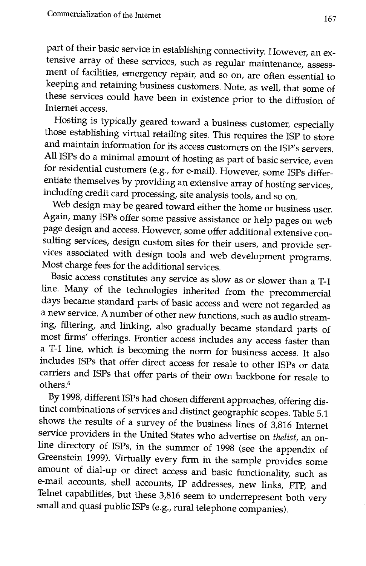part of their basic service in establishing connectivity. However, an extensive array of these services, such as regular maintenance, assessment of facilities, emergency repair, and so on, are often essential to keeping and retaining business customers. Note, as well, that some of these services could have been in existence prior to the diffusion of Internet access.

Hosting is typically geared toward a business customer, especially those establishing virtual retailing sites. This requires the ISP to store and maintain information for its access customers on the ISP's servers. All ISPs do a minimal amount of hosting as part of basic service, even for residential customers (e.g., for e-mail). However, some ISPs differentiate themselves by providing an extensive array of hosting services, including credit card processing, site analysis tools, and so on.

Web design may be geared toward either the home or business user. Again, many ISPs offer some passive assistance or help pages on web page design and access. However, some offer additional extensive consulting services, design custom sites for their users, and provide services associated with design tools and web development programs. Most charge fees for the additional services.

Basic access constitutes any service as slow as or slower than a T-1 line. Many of the technologies inherited from the precommercial days became standard parts of basic access and were not regarded as a new service. A number of other new functions, such as audio streaming, filtering, and linking, also gradually became standard parts of most firms' offerings. Frontier access includes any access faster than a T-1 line, which is becoming the norm for business access. It also includes ISPs that offer direct access for resale to other ISPs or data carriers and ISPs that offer parts of their own backbone for resale to others.6

By 1998, different ISPs had chosen different approaches, offering distinct combinations of services and distinct geographic scopes. Table 5.1 shows the results of a survey of the business lines of 3,816 Internet service providers in the United States who advertise on *thelist*, an on-<br>line directory of ISPs, in the summer of 1998 (see the appendix of Greenstein 1999). Virtually every firm in the sample provides some<br>amount of dial-up or direct access and basic functionality, such as e-mail accounts, shell accounts, IP addresses, new links, FTP, and Telnet capabilities, but these 3,816 seem to underrepresent both very small and quasi public ISPs (e.g., rural telephone companies).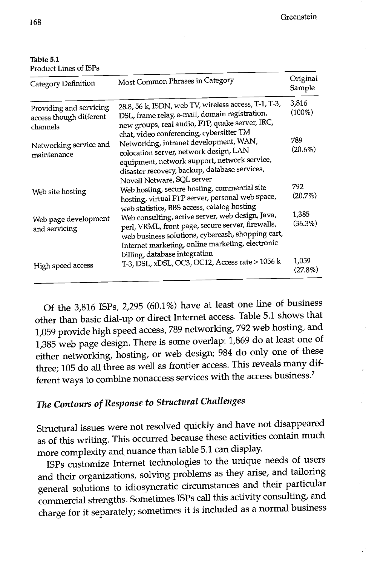Table 5.1 Product Lines of ISPs

| Category Definition                                            | Most Common Phrases in Category                                                                                                                                                                                 | Original<br>Sample |
|----------------------------------------------------------------|-----------------------------------------------------------------------------------------------------------------------------------------------------------------------------------------------------------------|--------------------|
| Providing and servicing<br>access though different<br>channels | 28.8, 56 k, ISDN, web TV, wireless access, T-1, T-3,<br>DSL, frame relay, e-mail, domain registration,<br>new groups, real audio, FTP, quake server, IRC,<br>chat, video conferencing, cybersitter TM           | 3.816<br>$(100\%)$ |
| Networking service and<br>maintenance                          | Networking, intranet development, WAN,<br>colocation server, network design, LAN<br>equipment, network support, network service,<br>disaster recovery, backup, database services,<br>Novell Netware, SQL server | 789<br>$(20.6\%)$  |
| Web site hosting                                               | Web hosting, secure hosting, commercial site<br>hosting, virtual FTP server, personal web space,<br>web statistics, BBS access, catalog hosting                                                                 | 792<br>(20.7%)     |
| Web page development<br>and servicing                          | Web consulting, active server, web design, Java,<br>perl, VRML, front page, secure server, firewalls,<br>web business solutions, cybercash, shopping cart,<br>Internet marketing, online marketing, electronic  | 1.385<br>(36.3%)   |
| High speed access                                              | billing, database integration<br>T-3, DSL, xDSL, OC3, OC12, Access rate > 1056 k                                                                                                                                | 1,059<br>(27.8%)   |

Of the 3,816 ISPs, 2,295 (60.1%) have at least one line of business other than basic dial-up or direct Internet access. Table 5.1 shows that 1,059 provide high speed access, 789 networking, 792 web hosting, and 1,385 web page design. There is some overlap: 1,869 do at least one of either networking, hosting, or web design; 984 do only one of these three; 105 do all three as well as frontier access. This reveals many different ways to combine nonaccess services with the access business.7

## The Contours of Response to Structural Challenges

Structural issues were not resolved quickly and have not disappeared as of this writing. This occurred because these activities contain much more complexity and nuance than table 5.1 can display.

ISPs customize Internet technologies to the unique needs of users and their organizations, solving problems as they arise, and tailoring general solutions to idiosyncratic circumstances and their particular commercial strengths. Sometimes ISPs call this activity consulting, and charge for it separately; sometimes it is included as a normal business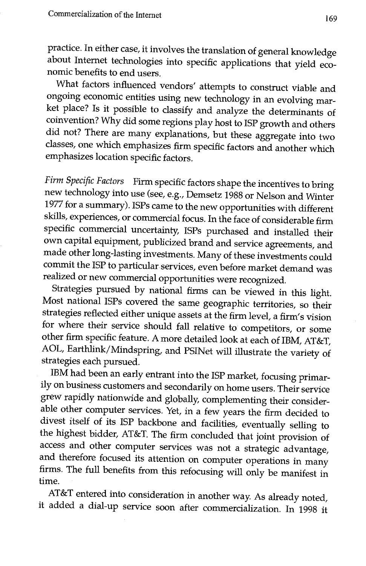practice. In either case, it involves the translation of general knowledge about Internet technologies into specific applications that yield eco- nomic benefits to end users.

What factors influenced vendors' attempts to construct viable and ongoing economic entities using new technology in an evolving market place? Is it possible to classify and analyze the determinants of coinvention? Why did some regions play host to ISP growth and others did not? There are many explanations, but these aggregate into two classes, one which emphasizes firm specific factors and another which emphasizes location specific factors.

Firm Specific Factors Firm specific factors shape the incentives to bring new technology into use (see, e.g., Demsetz 1988 or Nelson and Winter 1977 for a summary). ISPs came to the new opportunities with different skills, experiences, or commercial focus. In the face of considerable firm specific commercial uncertainty, ISPs purchased and installed their<br>own capital equipment, publicized brand and service agreements, and made other long-lasting investments. Many of these investments could commit the ISP to particular services, even before market demand was realized or new commercial opportunities were recognized.<br>Strategies pursued by national firms can be viewed in this light.

Most national ISPs covered the same geographic territories, so their strategies reflected either unique assets at the firm level, a firm's vision for where their service should fall relative to competitors, or some other firm specific feature. A more detailed look at each of IBM, AT&T, AOL, Earthlink/Mindspring, and PSINet will illustrate the variety of strategies each pursued.

IBM had been an early entrant into the ISP market, focusing primarily on business customers and secondarily on home users. Their service grew rapidly nationwide and globally, complementing their considerable other computer services. Yet, in a few years the firm decided to divest itself of its ISP backbone and facilities, eventually selling to<br>the highest bidder, AT&T. The firm concluded that joint provision of access and other computer services was not a strategic advantage, and therefore focused its attention on computer operations in many firms. The full benefits from this refocusing will only be manifest in time.

AT&T entered into consideration in another way. As already noted, it added a dial-up service soon after commercialization. In 1998 it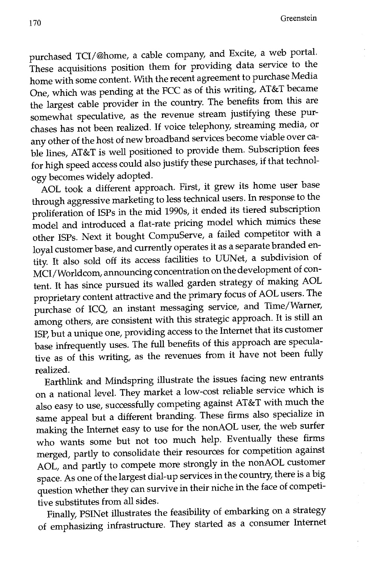<sup>170</sup> Greenstein

purchased TCl/@home, a cable company, and Excite, a web portal. These acquisitions position them for providing data service to the home with some content. With the recent agreement to purchase Media One, which was pending at the FCC as of this writing, AT&T became the largest cable provider in the country. The benefits from this are somewhat speculative, as the revenue stream justifying these purchases has not been realized. If voice telephony, streaming media, or any other of the host of new broadband services become viable over cable lines, AT&T is well positioned to provide them. Subscription fees for high speed access could also justify these purchases, if that technology becomes widely adopted.

AOL took a different approach. First, it grew its home user base through aggressive marketing to lesstechnical users. In response to the proliferation of ISPs in the mid 1990s, it ended its tiered subscription model and introduced a flat-rate pricing model which mimics these other ISPs. Next it bought CompuServe, a failed competitor with a loyal customer base, and currently operates it as a separate branded entity. It also sold off its access facilities to UUNet, a subdivision of MCl/Worldcom, announcing concentration on the development of content. It has since pursued its walled garden strategy of making AOL proprietary content attractive and the primary focus of AOL users. The purchase of ICQ, an instant messaging service, and Time/Warner, among others, are consistent with this strategic approach. It is still an ISP, but a unique one, providing access to the Internet that its customer base infrequently uses. The full benefits of this approach are speculative as of this writing, as the revenues from it have not been fully realized.

Earthlink and Mindspring illustrate the issues facing new entrants on a national level. They market a low-cost reliable service which is also easy to use, successfully competing against AT&T with much the same appeal but a different branding. These firms also specialize in making the Internet easy to use for the nonAOL user, the web surfer who wants some but not too much help. Eventually these firms merged, partly to consolidate their resources for competition against AOL, and partly to compete more strongly in the nonAOL customer space. As one of the largest dial-up services in the country, there is a big question whether they can survive in their niche in the face of competitive substitutes from all sides.

Finally, PSINet illustrates the feasibility of embarking on a strategy of emphasizing infrastructure. They started as a consumer Internet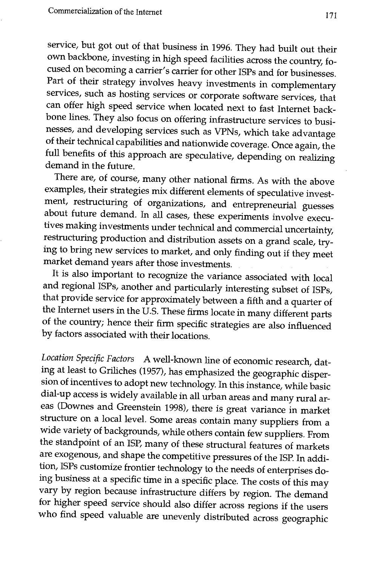service, but got out of that business in 1996. They had built out their<br>own backbone, investing in high speed facilities across the country, focused on becoming a carrier's carrier for other ISPs and for businesses. Part of their strategy involves heavy investments in complementary services, such as hosting services or corporate software services, that can offer high speed service when located next to fast Internet backbone lines. They also focus on offering infrastructure services to businesses, and developing services such as VPNs, which take advantage of their technical capabilities and nationwide coverage. Once again, the full benefits of this approach are speculative, depending on realizing demand in the future.

There are, of course, many other national firms. As with the above examples, their strategies mix different elements of speculative investment, restructuring of organizations, and entrepreneurial guesses<br>about future demand. In all cases, these experiments involve executives making investments under technical and commercial uncertainty restructuring production and distribution assets on a grand scale, trying to bring new services to market, and only finding out if they meet market demand years after those investments.

It is also important to recognize the variance associated with local and regional ISPs, another and particularly interesting subset of ISPs, that provide service for approximately between a fifth and a quarter of the Internet users in the U.S. These firms locate in many different parts of the country; hence their firm specific strategies are also influenced by factors associated with their locations.

Location Specific Factors A well-known line of economic research, dating at least to Griliches (1957), has emphasized the geographic dispersion of incentives to adopt new technology. In this instance, while basic dial-up access is widely available in all urban areas and many rural areas (Downes and Greenstein 1998), there is great variance in market structure on a local level. Some areas contain many suppliers from a wide variety of backgrounds, while others contain few suppliers. From the standpoint of an ISP, many of these structural features of markets are exogenous, and shape the competitive pressures of the ISP. In addition, ISPs customize frontier technology to the needs of enterprises do-<br>ing business at a specific time in a specific place. The costs of this may vary by region because infrastructure differs by region. The demand<br>for higher speed service should also differ across regions if the users who find speed valuable are unevenly distributed across geographic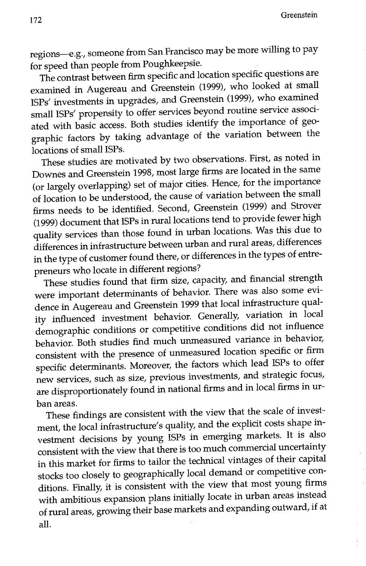regions-e.g., someone from San Francisco may be more willing to pay for speed than people from Poughkeepsie.

The contrast between firm specific and location specific questions are examined in Augereau and Greenstein (1999), who looked at small ISPs' investments in upgrades, and Greenstein (1999), who examined small ISPs' propensity to offer services beyond routine service associated with basic access. Both studies identify the importance of geographic factors by taking advantage of the variation between the locations of small ISPs.

These studies are motivated by two observations. First, as noted in Downes and Greenstein 1998, most large firms are located in the same (or largely overlapping) set of major cities. Hence, for the importance of location to be understood, the cause of variation between the small firms needs to be identified. Second, Greenstein (1999) and Strover (1999) document that ISPs in rural locations tend to provide fewer high quality services than those found in urban locations. Was this due to differences in infrastructure between urban and rural areas, differences in the type of customer found there, or differences in the types of entrepreneurs who locate in different regions?

These studies found that firm size, capacity, and financial strength were important determinants of behavior. There was also some evidence in Augereau and Greenstein 1999 that local infrastructure quality influenced investment behavior. Generally, variation in local demographic conditions or competitive conditions did not influence behavior. Both studies find much unmeasured variance in behavior, consistent with the presence of unmeasured location specific or firm specific determinants. Moreover, the factors which lead ISPs to offer new services, such as size, previous investments, and strategic focus, are disproportionately found in national firms and in local firms in ur-

ban areas. These findings are consistent with the view that the scale of investment, the local infrastructure's quality, and the explicit costs shape investment decisions by young ISPs in emerging markets. It is also consistent with the view that there is too much commercial uncertainty in this market for firms to tailor the technical vintages of their capital stocks too closely to geographically local demand or competitive conditions. Finally, it is consistent with the view that most young firms with ambitious expansion plans initially locate in urban areas instead of rural areas, growing their base markets and expanding outward, if at all.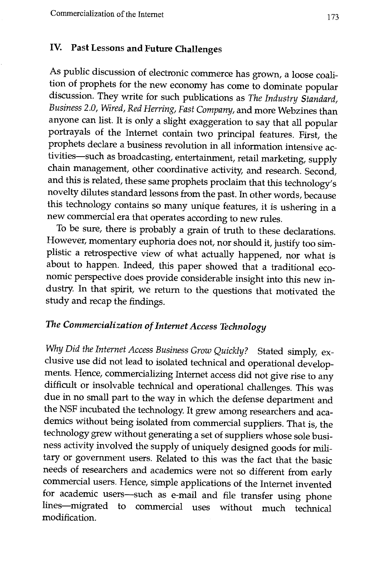### IV. Past Lessons and Future Challenges

As public discussion of electronic commerce has grown, a loose coalition of prophets for the new economy has come to dominate popular discussion. They write for such publications as The Industry Standard, Business 2.0, Wired, Red Herring, Fast Company, and more Webzines than anyone can list. It is only a slight exaggeration to say that all popular portrayals of the Internet contain two principal features. First, the prophets declare a business revolution in all information intensive activities-such as broadcasting, entertainment, retail marketing, supply chain management, other coordinative activity and research. Second, and this is related, these same prophets proclaim that this technology's novelty dilutes standard lessons from the past. In other words, because this technology contains so many unique features, it is ushering in a new commercial era that operates according to new rules.

To be sure, there is probably a grain of truth to these declarations. However, momentary euphoria does not, nor should it, justify too simplistic a retrospective view of what actually happened, nor what is about to happen. Indeed, this paper showed that a traditional economic perspective does provide considerable insight into this new industry. In that spirit, we return to the questions that motivated the study and recap the findings.

### The Commercialization of Internet Access Technology

Why Did the Internet Access Business Grow Quickly? Stated simply, exclusive use did not lead to isolated technical and operational developments. Hence, commercializing Internet access did not give rise to any difficult or insolvable technical and operational challenges. This was due in no small part to the way in which the defense department and the NSF incubated the technology. It grew among researchers and academics without being isolated from commercial suppliers. That is, the technology grew without generating a set of suppliers whose sole business activity involved the supply of uniquely designed goods for military or government users. Related to this was the fact that the basic needs of researchers and academics were not so different from early commercial users. Hence, simple applications of the Internet invented for academic users-such as e-mail and file transfer using phone lines-migrated to commercial uses without much technical modification.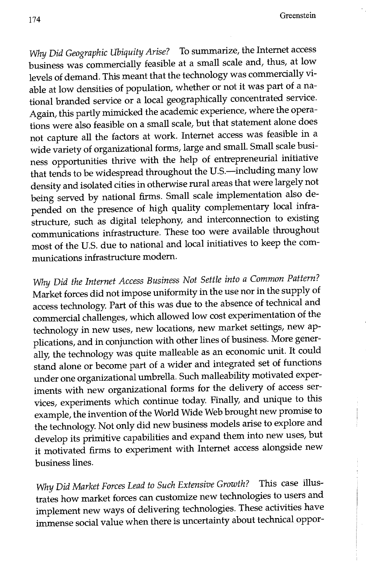Greenstein <sup>174</sup>

Why Did Geographic Ubiquity Arise? To summarize, the Internet access business was commercially feasible at a small scale and, thus, at low levels of demand. This meant that the technology was commercially viable at low densities of population, whether or not it was part of a national branded service or a local geographically concentrated service. Again, this partly mimicked the academic experience, where the operations were also feasible on a small scale, but that statement alone does not capture all the factors at work. Internet access was feasible in a wide variety of organizational forms, large and small. Small scale business opportunities thrive with the help of entrepreneurial initiative that tends to be widespread throughout the U.S.-including many low density and isolated cities in otherwise rural areas that were largely not being served by national firms. Small scale implementation also depended on the presence of high quality complementary local infrastructure, such as digital telephony, and interconnection to existing communications infrastructure. These too were available throughout most of the U.S. due to national and local initiatives to keep the communications infrastructure modern.

Why Did the Internet Access Business Not Settle into a Common Pattern? Market forces did not impose uniformity in the use nor in the supply of access technology Part of this was due to the absence of technical and commercial challenges, which allowed low cost experimentation of the technology in new uses, new locations, new market settings, new applications, and in conjunction with other lines of business. More generally, the technology was quite malleable as an economic unit. It could stand alone or become part of a wider and integrated set of functions under one organizational umbrella. Such malleability motivated experiments with new organizational forms for the delivery of access services, experiments which continue today Finally, and unique to this example, the invention of the World Wide Web brought new promise to the technology. Not only did new business models arise to explore and develop its primitive capabilities and expand them into new uses, but it motivated firms to experiment with Internet access alongside new business lines.

Why Did Market Forces Lead to Such Extensive Growth? This case illustrates how market forces can customize new technologies to users and implement new ways of delivering technologies. These activities have immense social value when there is uncertainty about technical oppor-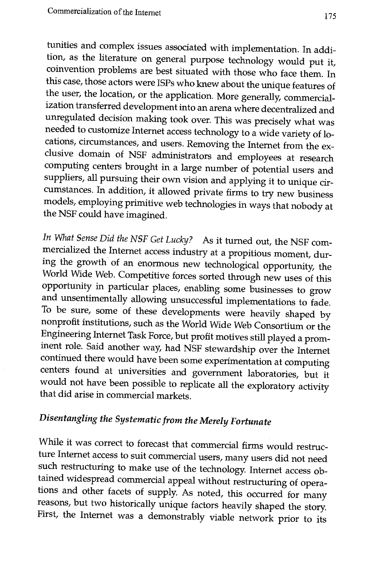tunities and complex issues associated with implementation. In addition, as the literature on general purpose technology would put it, coinvention problems are best situated with those who face them. In this case, those actors were ISPs who knew about the unique features of the user, the location, or the application. More generally, commercialization transferred development into an arena where decentralized and<br>unregulated decision making took over. This was precisely what was needed to customize Internet access technology to a wide variety of locations, circumstances, and users. Removing the Internet from the exclusive domain of NSF administrators and employees at research computing centers brought in a large number of potential users and suppliers, all pursuing their own vision and applying it to unique cir-<br>cumstances. In addition, it allowed private firms to try new business models, employing primitive web technologies in ways that nobody at the NSF could have imagined.

In What Sense Did the NSF Get Lucky? As it turned out, the NSF com-<br>mercialized the Internet access industry at a propitious moment, dur-<br>ing the growth of an enormous new technological opportunity, the World Wide Web. Competitive forces sorted through new uses of this opportunity in particular places, enabling some businesses to grow and unsentimentally allowing unsuccessful implementations to fade. To be sure, some of these developments were heavily shaped by nonprofit institutions, such as the World Wide Web Consortium or the Engineering Internet Task Force, but profit motives still played a prominent role. Said another way, had NSF stewardship over the Internet continued there would have been some experimentation at computing centers found at universities and government laboratories, but it would not have been possible to replicate all the exploratory activity that did arise in commercial markets.

## Disentangling the Systematic from the Merely Fortunate

While it was correct to forecast that commercial firms would restructure Internet access to suit commercial users, many users did not need such restructuring to make use of the technology. Internet access obtained widespread commercial appeal without restructuring of operations and other facets of supply. As noted, this occurred for many reasons, but two historically unique factors heavily shaped the story. First, the Internet was a demonstrably viable network prior to its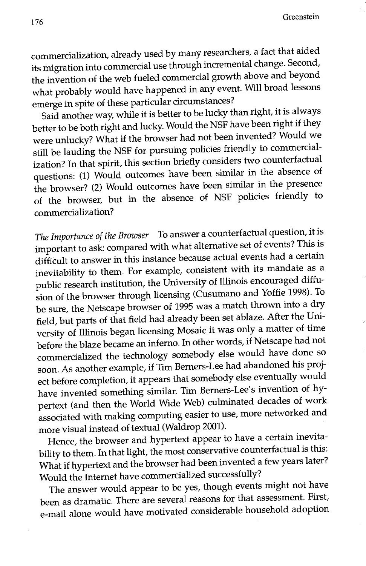commercialization, already used by many researchers, a fact that aided its migration into commercial use through incremental change. Second, the invention of the web fueled commercial growth above and beyond what probably would have happened in any event. Will broad lessons emerge in spite of these particular circumstances?

Said another way, while it is better to be lucky than right, it is always better to be both right and lucky. Would the NSF have been right if they were unlucky? What if the browser had not been invented? Would we still be lauding the NSF for pursuing policies friendly to commercialization? In that spirit, this section briefly considers two counterfactual questions: (1) Would outcomes have been similar in the absence of the browser? (2) Would outcomes have been similar in the presence of the browser, but in the absence of NSF policies friendly to commercialization?

The Importance of the Browser To answer a counterfactual question, it is important to ask: compared withwhat alternative set of events? This is difficult to answer in this instance because actual events had a certain inevitability to them. For example, consistent with its mandate as a public research institution, the University of Illinois encouraged diffusion of the browser through licensing (Cusumano and Yoffie 1998). To be sure, the Netscape browser of 1995 was a match thrown into a dry field, but parts of that field had already been set ablaze. After the University of Illinois began licensing Mosaic it was only a matter of time before the blaze became an inferno. In other words, if Netscape had not commercialized the technology somebody else would have done so soon. As another example, if Tim Berners-Lee had abandoned his project before completion, it appears that somebody else eventually would have invented something similar. Tim Berners-Lee's invention of hypertext (and then the World Wide Web) culminated decades of work associated with making computing easier to use, more networked and more visual instead of textual (Waidrop 2001).

Hence, the browser and hypertext appear to have a certain inevitability to them. In that light, the most conservative counterfactual is this: What if hypertext and the browser had been invented a few years later? Would the Internet have commercialized successfully?

The answer would appear to be yes, though events might not have been as dramatic. There are several reasons for that assessment. First, e-mail alone would have motivated considerable household adoption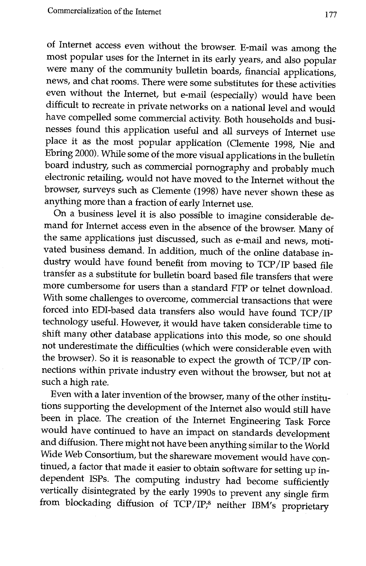of Internet access even without the browser. E-mail was among the most popular uses for the Internet in its early years, and also popular were many of the community bulletin boards, financial applications, news, and chat rooms. There were some substitutes for these activities even without the Internet, but e-mail (especially) would have been difficult to recreate in private networks on a national level and would have compelled some commercial activity. Both households and businesses found this application useful and all surveys of Internet use place it as the most popular application (Clemente 1998, Nie and Ebring 2000). While some of themore visual applications in the bulletin board industry, such as commercial pornography and probably much electronic retailing, would not have moved to the Internet without the browser, surveys such as Clemente (1998) have never shown these as anything more than a fraction of early Internet use.

On a business level it is also possible to imagine considerable demand for Internet access even in the absence of the browser. Many of the same applications just discussed, such as e-mail and news, motivated business demand. In addition, much of the online database industry would have found benefit from moving to TCP/IP based file transfer as a substitute for bulletin board based file transfers that were more cumbersome for users than a standard FTP or telnet download. With some challenges to overcome, commercial transactions that were forced into EDT-based data transfers also would have found TCP/IP technology useful. However, it would have taken considerable time to shift many other database applications into this mode, so one should not underestimate the difficulties (which were considerable even with the browser). So it is reasonable to expect the growth of TCP/IP connections within private industry even without the browser, but not at such a high rate.

Even with a later invention of the browser, many of the other institutions supporting the development of the Internet also would still have<br>been in place. The creation of the Internet Engineering Task Force would have continued to have an impact on standards development and diffusion. There might not have been anything similar to the World Wide Web Consortium, but the shareware movement would have continued, a factor that made it easier to obtain software for setting up independent ISPs. The computing industry had become sufficiently vertically disintegrated by the early 1990s to prevent any single firm from blockading diffusion of TCP/IP;8 neither IBM's proprietary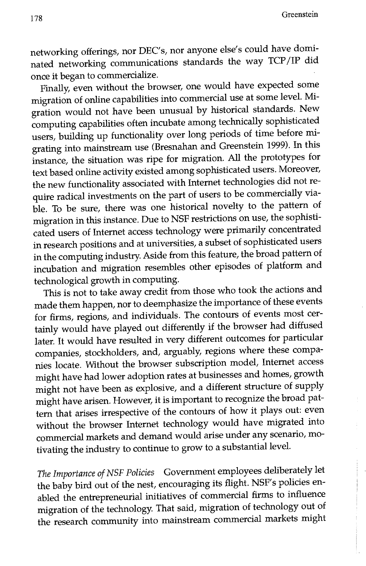networking offerings, nor DEC's, nor anyone else's could have dominated networking communications standards the way TCP/IP did once it began to commercialize

Finally, even without the browser, one would have expected some migration of online capabilities into commercial use at some level. Migration would not have been unusual by historical standards. New computing capabilities often incubate among technically sophisticated users, building up functionality over long periods of time before migrating into mainstream use (Bresnahan and Greenstein 1999). In this instance, the situation was ripe for migration. All the prototypes for text based online activity existed among sophisticated users. Moreover, the new functionality associated with Internet technologies did not require radical investments on the part of users to be commercially viable. To be sure, there was one historical novelty to the pattern of migration in this instance. Due to NSF restrictions on use, the sophisticated users of Internet access technology were primarily concentrated in research positions and at universities, a subset of sophisticated users in the computing industry. Aside from this feature, the broad pattern of incubation and migration resembles other episodes of platform and technological growth in computing.

This is not to take away credit from those who took the actions and made them happen, nor to deemphasize the importance of these events for firms, regions, and individuals. The contours of events most certainly would have played out differently if the browser had diffused later. It would have resulted in very different outcomes for particular companies, stockholders, and, arguably, regions where these companies locate. Without the browser subscription model, Internet access might have had lower adoption rates at businesses and homes, growth might not have been as explosive, and a different structure of supply might have arisen. However, it is important to recognize the broad pattern that arises irrespective of the contours of how it plays out: even without the browser Internet technology would have migrated into commercial markets and demand would arise under any scenario, motivating the industry to continue to grow to a substantial level.

The Importance of NSF Policies Government employees deliberately let the baby bird out of the nest, encouraging its flight. NSF's policies enabled the entrepreneurial initiatives of commercial firms to influence migration of the technology. That said, migration of technology out of the research community into mainstream commercial markets might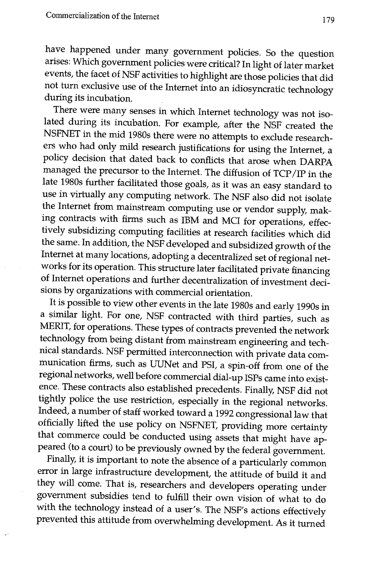have happened under many government policies. So the question arises: Which government policies were critical? In light of later market events, the facet of NSF activities to highlight are those policies that did not turn exclusive use of the Internet into an idiosyncratic technology during its incubation.

There were many senses in which Internet technology was not isolated during its incubation. For example, after the NSF created the NSFNET in the mid 1980s there were no attempts to exclude researchers who had only mild research justifications for using the Internet, a policy decision that dated back to conflicts that arose when DARPA managed the precursor to the Internet. The diffusion of TCP/IP in the late 1980s further facilitated those goals, as it was an easy standard to use in virtually any computing network. The NSF also did not isolate the Internet from mainstream computing use or vendor supply, making contracts with firms such as IBM and MCI for operations, effectively subsidizing computing facilities at research facilities which did the same. In addition, the NSF developed and subsidized growth of the Internet at many locations, adopting a decentralized set of regional networks for its operation. This structure later facilitated private financing of Internet operations and further decentralization of investment decisions by organizations with commercial orientation.

It is possible to view other events in the late 1980s and early 1990s in<br>a similar light. For one, NSF contracted with third parties, such as MERIT, for operations. These types of contracts prevented the network<br>technology from being distant from mainstream engineering and technical standards. NSF permitted interconnection with private data communication firms, such as IJUNet and PSI, a spin-off from one of the regional networks, well before commercial dial-up ISPs came into existence. These contracts also established precedents. Finally, NSF did not tightly police the use restriction, especially in the regional networks.<br>Indeed, a number of staff worked toward a 1992 congressional law that officially lifted the use policy on NSFNET, providing more certainty<br>that commerce could be conducted using assets that might have appeared (to a court) to be previously owned by the federal government.

Finally, it is important to note the absence of a particularly common error in large infrastructure development, the attitude of build it and they will come. That is, researchers and developers operating under government subsidies tend to fulfill their own vision of what to do with the technology instead of a user's. The NSF's actions effectively prevented this attitude from overwhelming development. As it turned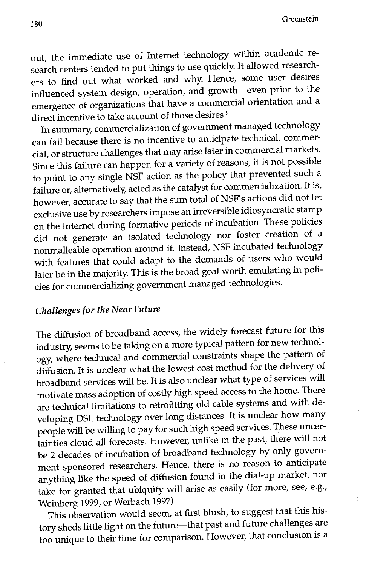out, the immediate use of Internet technology within academic research centers tended to put things to use quickly. It allowed researchers to find out what worked and why. Hence, some user desires influenced system design, operation, and growth-even prior to the emergence of organizations that have a commercial orientation and a direct incentive to take account of those desires.<sup>9</sup>

In summary, commercialization of government managed technology can fail because there is no incentive to anticipate technical, commercial, or structure challenges that may arise later in commercial markets. Since this failure can happen for a variety of reasons, it is not possible to point to any single NSF action as the policy that prevented such a failure or, alternatively, acted as the catalyst for commercialization. It is, however, accurate to say that the sum total of NSF's actions did not let exclusive use by researchers impose an irreversible idiosyncratic stamp on the Internet during formative periods of incubation. These policies did not generate an isolated technology nor foster creation of a nonmalleable operation around it. Instead, NSF incubated technology with features that could adapt to the demands of users who would later be in the majority. This is the broad goal worth emulating in policies for commercializing government managed technologies.

### Challenges for the Near Future

The diffusion of broadband access, the widely forecast future for this industry, seems to be taking on a more typical pattern for new technology, where technical and commercial constraints shape the pattern of diffusion. It is unclear what the lowest cost method for the delivery of broadband services will be. It is also unclear what type of services will motivate mass adoption of costly high speed access to the home. There are technical limitations to retrofitting old cable systems and with developing DSL technology over long distances. It is unclear how many people will be willing to pay for such high speed services. These uncertainties cloud all forecasts. However, unlike in the past, there will not be 2 decades of incubation of broadband technology by only government sponsored researchers. Hence, there is no reason to anticipate anything like the speed of diffusion found in the dial-up market, nor take for granted that ubiquity will arise as easily (for more, see, e.g., Weinberg 1999, or Werbach 1997).

This observation would seem, at first blush, to suggest that this history sheds little light on the future-that past and future challenges are too unique to their time for comparison. However, that conclusion is a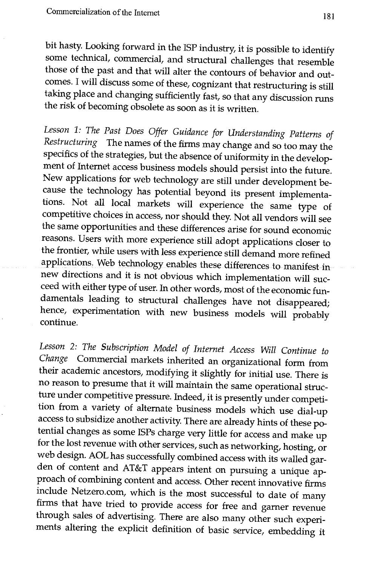bit hasty. Looking forward in the ISP industry, it is possible to identify some technical, commercial, and structural challenges that resemble those of the past and that will alter the contours of behavior and outcomes. I will discuss some of these, cognizant that restructuring is still taking place and changing sufficiently fast, so that any discussion runs the risk of becoming obsolete as soon as it is written.

Lesson 1: The Past Does Offer Guidance for Understanding Patterns of Restructuring The names of the firms may change and so too may the specifics of the strategies, but the absence of uniformity in the development of Internet access business models should persist into the future. New applications for web technology are still under development be-<br>cause the technology has potential beyond its present implementations. Not all local markets will experience the same type of competitive choices in access, nor should they. Not all vendors will see the same opportunities and these differences arise for sound economic reasons. Users with more experience still adopt applications closer to the frontier, while users with less experience still demand more refined applications. Web technology enables these differences to manifest innew directions and it is not obvious which implementation will succeed with either type of user. In other words, most of the economic fun-<br>damentals leading to structural challenges have not disappeared; hence, experimentation with new business models will probably continue.

Lesson 2: The Subscription Model of Internet Access Will Continue to Change Commercial markets inherited an organizational form from their academic ancestors, modifying it slightly for initial use. There is no reason to presume that it will maintain the same operational structure under competitive pressure. Indeed, it is presently under competition from a variety of alternate business models which use dial-up access to subsidize another activity. There are already hints of these potential changes as some ISPs charge very little for access and make up for the lost revenue with other services, such as networking, hosting, or web design. AOL has successfully combined access with its walled garden of content and AT&T appears intent on pursuing a unique approach of combining content and access. Other recent innovative firms include Netzero.com, which is the most successful to date of many firms that have tried to provide access for free and garner revenue through sales of advertising. There are also many other such experiments altering the explicit definition of basic service, embedding it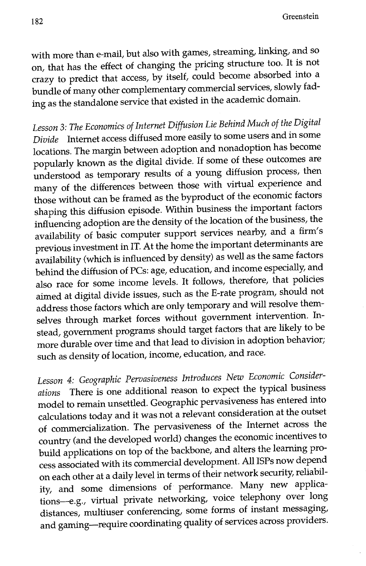with more than e-mail, but also with games, streaming, linking, and so on, that has the effect of changing the pricing structure too. It is not crazy to predict that access, by itself, could become absorbed into a bundle of many other complementary commercial services, slowly fading as the standalone service that existed in the academic domain.

Lesson 3: The Economics of Internet Diffusion Lie Behind Much of the Digital Divide Internet access diffused more easily to some users and in some locations. The margin between adoption and nonadoption has become popularly known as the digital divide. If some of these outcomes are understood as temporary results of a young diffusion process, then many of the differences between those with virtual experience and those without can be framed as the byproduct of the economic factors shaping this diffusion episode. Within business the important factors influencing adoption are the density of the location of the business, the availability of basic computer support services nearby, and a firm's previous investment in IT. At the home the important determinants are availability (which is influenced by density) as well as the same factors behind the diffusion of PCs: age, education, and income especially, and also race for some income levels. It follows, therefore, that policies aimed at digital divide issues, such as the E-rate program, should not address those factors which are only temporary and will resolve themselves through market forces without government intervention. Instead, government programs should target factors that are likely to be more durable over time and that lead to division in adoption behavior; such as density of location, income, education, and race.

Lesson 4: Geographic Pervasiveness Introduces New Economic Considerations There is one additional reason to expect the typical business model to remain unsettled. Geographic pervasiveness has entered into calculations today and it was not a relevant consideration at the outset of commercialization. The pervasiveness of the Internet across the country (and the developed world) changes the economic incentives to build applications on top of the backbone, and alters the learning process associated with its commercial development. All ISPs now depend on each other at a daily level in terms of their network security, reliability, and some dimensions of performance. Many new applications-e.g., virtual private networking, voice telephony over long distances, multiuser conferencing, some forms of instant messaging, and gaming-require coordinating quality of services across providers.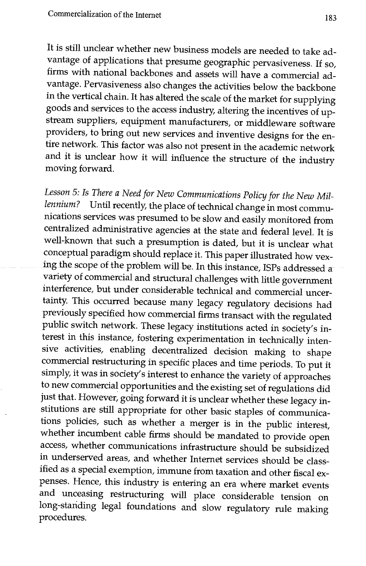It is still unclear whether new business models are needed to take ad-<br>vantage of applications that presume geographic pervasiveness. If so, firms with national backbones and assets will have a commercial advantage. Pervasiveness also changes the activities below the backbone in the vertical chain. It has altered the scale of the market for supplying goods and services to the access industry, altering the incentives of upstream suppliers, equipment manufacturers, or middleware software providers, to bring out new services and inventive designs for the entire network. This factor was also not present in the academic network and it is unclear how it will influence the structure of the industry moving forward.

Lesson 5: Is There a Need for New Communications Policy for the New Millennium? Until recently, the place of technical change in most communications services was presumed to be slow and easily monitored from centralized administrative agencies at the state and federal level. It is well-known that such a presumption is dated, but it is unclear what conceptual paradigm should replace it. This paper illustrated how vexing the scope of the problem will be. In this instance, ISPs addressed a variety of commercial and structural challenges with little government interference, but under considerable technical and commercial uncertainty. This occurred because many legacy regulatory decisions had previously specified how commercial firms transact with the regulated public switch network. These legacy institutions acted in society's interest in this instance, fostering experimentation in technically intensive activities, enabling decentralized decision making to shape commercial restructuring in specific places and time periods. To put it simply, it was in society's interest to enhance the variety of approaches to new commercial opportunities and the existing set of regulations did just that. However, going forward it is unclear whether these legacy institutions are still appropriate for other basic staples of communications policies, such as whether a merger is in the public interest, whether incumbent cable firms should be mandated to provide open access, whether communications infrastructure should be subsidized in underserved areas, and whether Internet services should be classified as a special exemption, immune from taxation and other fiscal expenses. Hence, this industry is entering an era where market events and unceasing restructuring will place considerable tension on long-starding legal foundations and slow regulatory rule making procedures.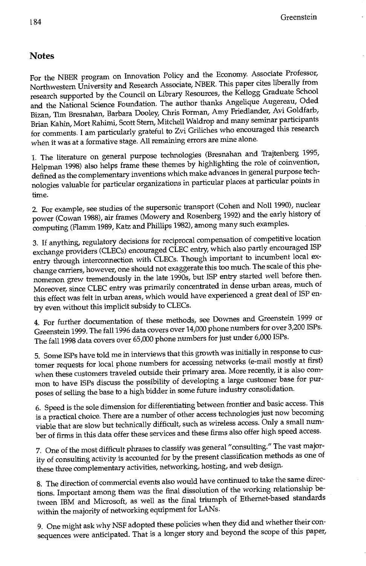#### Notes

For the NBER program on Innovation Policy and the Economy. Associate Professor, Northwestern University and Research Associate, NBER. This paper cites liberally from research supported by the Council on Library Resources, the Kellogg Graduate School and the National Science Foundation. The author thanks Angelique Augereau, Oded Bizan, Tim Bresnahan, Barbara Dooley, Chris Forman, Amy Friedlander, Avi Goldfarb, Brian Kahin, Mort Rahimi, Scott Stern, Mitchell Waldrop and many seminar participants for comments. I am particularly grateful to Zvi Griliches who encouraged this research when it was at a formative stage. All remaining errors are mine alone.

The literature on general purpose technologies (Bresnahan and Trajtenberg 1995, Helpman 1998) also helps frame these themes by highlighting the role of coinvention, defined as the complementary inventions which make advances in general purpose technologies valuable for particular organizations in particular places at particular points in time.

For example, see studies of the supersonic transport (Cohen and Noll 1990), nuclear power (Cowan 1988), air frames (Mowery and Rosenberg 1992) and the early history of computing (Flamm 1989, Katz and Phillips 1982), among many such examples.

If anything, regulatory decisions for reciprocal compensation of competitive location exchange providers (CLECs) encouraged CLEC entry, which also partly encouraged ISP entry through interconnection with CLECs. Though important to incumbent local exchange carriers, however, one should not exaggerate this too much. The scale of this phenomenon grew tremendously in the late 1990s, but ISP entry started well before then. Moreover, since CLEC entry was primarily concentrated in dense urban areas, much of this effect was felt in urban areas, which would have experienced a great deal of ISP entry even without this implicit subsidy to CLECs.

For further documentation of these methods, see Downes and Greenstein 1999 or Greenstein 1999. The fall 1996 data covers over 14,000 phone numbers for over 3,200 ISPs. The fall 1998 data covers over 65,000 phone numbers for just under 6,000 ISPs.

5. Some ISPs have told me in interviews that this growth was initially in response to customer requests for local phone numbers for accessing networks (e-mail mostly at first) when these customers traveled outside their primary area. More recently, it is also common to have ISPs discuss the possibility of developing a large customer base for purposes of selling the base to a high bidder in some future industry consolidation.

6. Speed is the sole dimension for differentiating between frontier and basic access. This is a practical choice. There are a number of other access technologies just now becoming viable that are slow but technically difficult, such as wireless access. Only a small number of firms in this data offer these services and these firms also offer high speed access.

One of the most difficult phrases to classify was general "consulting." The vast majority of consulting activity is accounted for by the present classification methods as one of these three complementary activities, networking, hosting, and web design.

The direction of commercial events also would have continued to take the same directions. Important among them was the final dissolution of the working relationship between IBM and Microsoft, as well as the final triumph of Ethernet-based standards within the majority of networking equipment for LAN5.

One might ask why NSF adopted these policies when they did and whether their consequences were anticipated. That is a longer story and beyond the scope of this paper,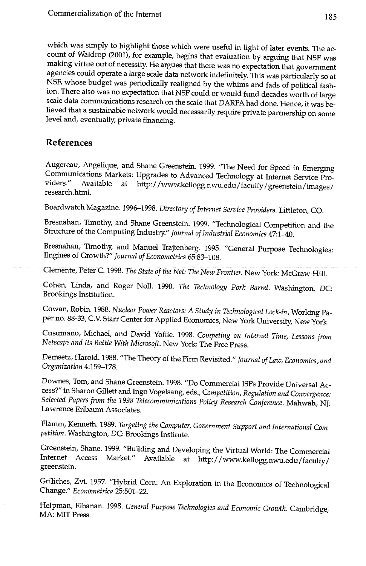which was simply to highlight those which were useful in light of later events. The account of Waldrop (2001), for example, begins that evaluation by arguing that NSF was making virtue out of necessity. He argues that ther NSF, whose budget was periodically realigned by the whims and fads of political fashion. There also was no expectation that NSF could or would fund decades worth of large scale data communications research on the scale that DARPA had done. Hence, it was believed that a sustainable network would necessarily require private partnership on some level and, eventually, private financing.

#### References

Augereau, Angelique, and Shane Greenstein. 1999. "The Need for Speed in Emerging<br>Communications Markets: Upgrades to Advanced Technology at Internet Service Pro-<br>viders." Available at http://www.kellogg.nwu.edu/faculty/gre viders." Available at http://www.kellogg.nwu.edu/faculty/greenstein/images/ research.html.

Boardwatch Magazine. 1996-1998. Directory of Internet Service Providers. Littleton, CO.

Bresnahan, Timothy, and Shane Greenstein. 1999. "Technological Competition and the Structure of the Computing Industry." Journal of Industrial Economics 47:1-40.

Bresnahan, Timothy, and Manuel Trajtenberg. 1995. "General Purpose Technologies:<br>Engines of Growth?" Journal of Econometrics 65:83-108.

Clemente, Peter C. 1998. The State of the Net: The New Frontier. New York: McGraw-Hill.

Cohen, Linda, and Roger Noll. 1990. The Technology Pork Barrel. Washington, DC: Brookings Institution.

Cowan, Robin. 1988. Nuclear Power Reactors: A Study in Technological Lock-in, Working Pa-<br>per no. 88-33, C.V. Starr Center for Applied Economics, New York University, New York.

Cusumano, Michael, and David Yoffie. 1998. Competing on Internet Time, Lessons from Netscape and Its Battle With Microsoft. New York: The Free Press.

Demsetz, Harold. 1988. "The Theory of the Firm Revisited." Journal of Law, Economics, and Organization 4:159-178.

Downes, Tom, and Shane Greenstein. 1998. "Do Commercial ISPs Provide Universal Access?" in Sharon Gillett and Ingo Vogelsang, eds., Competition, Regulation and Convergence: Selected Papers from the 1998 Telecommunications Policy Research Conference. Mahwah, NJ:<br>Lawrence Erlbaum Associates.

Flamm, Kenneth. 1989. Targeting the Computer, Government Support and International Com-<br>petition. Washington, DC: Brookings Institute.

Greenstein, Shane. 1999. "Building and Developing the Virtual World: The Commercial Internet Access Market." Available at http://www.kellogg.nwu.edu/faculty/<br>greenstein.

Griliches, Zvi. 1957. "Hybrid Corn: An Exploration in the Economics of Technological Change." Econometrica 25:501-22.

Helpman, Elhanan. 1998. General Purpose Technologies and Economic Growth. Cambridge, MA: MIT Press.